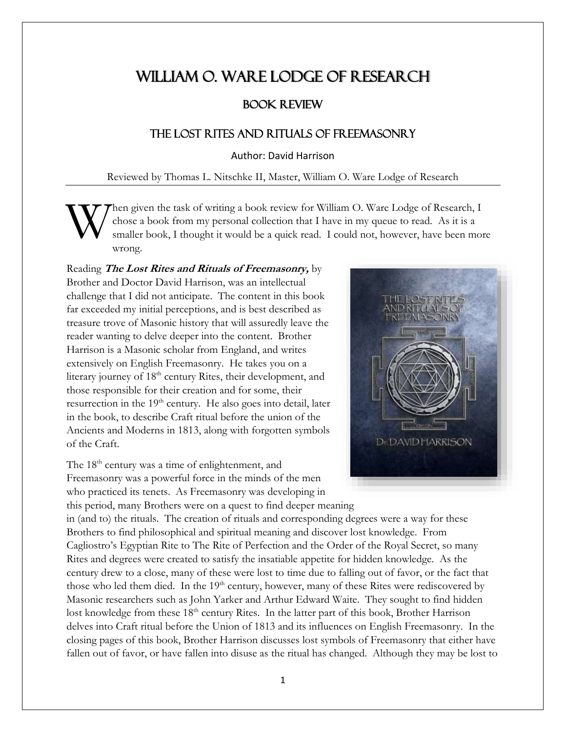## WILLIAM O. WARE LODGE OF RESEARCH

## Book Review

## The Lost Rites and Rituals of Freemasonry

Author: David Harrison

Reviewed by Thomas L. Nitschke II, Master, William O. Ware Lodge of Research

hen given the task of writing a book review for William O. Ware Lodge of Research, I chose a book from my personal collection that I have in my queue to read. As it is a smaller book, I thought it would be a quick read. I could not, however, have been more wrong. W

Reading **The Lost Rites and Rituals of Freemasonry,** by Brother and Doctor David Harrison, was an intellectual challenge that I did not anticipate. The content in this book far exceeded my initial perceptions, and is best described as treasure trove of Masonic history that will assuredly leave the reader wanting to delve deeper into the content. Brother Harrison is a Masonic scholar from England, and writes extensively on English Freemasonry. He takes you on a literary journey of 18<sup>th</sup> century Rites, their development, and those responsible for their creation and for some, their resurrection in the 19<sup>th</sup> century. He also goes into detail, later in the book, to describe Craft ritual before the union of the Ancients and Moderns in 1813, along with forgotten symbols of the Craft.

The 18<sup>th</sup> century was a time of enlightenment, and Freemasonry was a powerful force in the minds of the men who practiced its tenets. As Freemasonry was developing in



this period, many Brothers were on a quest to find deeper meaning in (and to) the rituals. The creation of rituals and corresponding degrees were a way for these Brothers to find philosophical and spiritual meaning and discover lost knowledge. From Cagliostro's Egyptian Rite to The Rite of Perfection and the Order of the Royal Secret, so many Rites and degrees were created to satisfy the insatiable appetite for hidden knowledge. As the century drew to a close, many of these were lost to time due to falling out of favor, or the fact that those who led them died. In the 19<sup>th</sup> century, however, many of these Rites were rediscovered by Masonic researchers such as John Yarker and Arthur Edward Waite. They sought to find hidden lost knowledge from these 18<sup>th</sup> century Rites. In the latter part of this book, Brother Harrison delves into Craft ritual before the Union of 1813 and its influences on English Freemasonry. In the closing pages of this book, Brother Harrison discusses lost symbols of Freemasonry that either have fallen out of favor, or have fallen into disuse as the ritual has changed. Although they may be lost to